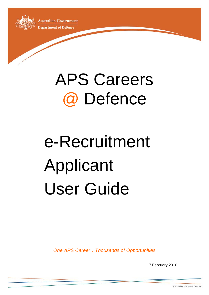**Australian Government Department of Defence** 



## APS Careers @ Defence

# e-Recruitment Applicant User Guide

*One APS Career…Thousands of Opportunities*

17 February 2010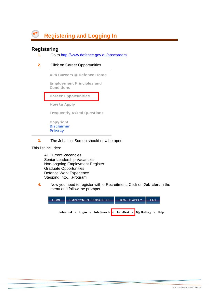

## **Registering**

- 1. Go to http://www.defence.gov.au/apscareers
- **2.** Click on Career Opportunities

APS Careers @ Defence Home

**Employment Principles and** Conditions

**Career Opportunities** 

How to Apply

**Frequently Asked Questions** 

Copyright **Disclaimer** Privacy

**3.** The Jobs List Screen should now be open.

This list includes:

All Current Vacancies Senior Leadership Vacancies Non-ongoing Employment Register Graduate Opportunities Defence Work Experience Stepping Into….Program

**4.** Now you need to register with e-Recruitment. Click on **Job alert** in the menu and follow the prompts.

| HOME. | EMPLOYMENT PRINCIPLES                                                       | HOW TO APPLY | <b>FAQ</b> |
|-------|-----------------------------------------------------------------------------|--------------|------------|
|       | Jobs List « Login « Job Search <mark>« Job Alert « My History « Help</mark> |              |            |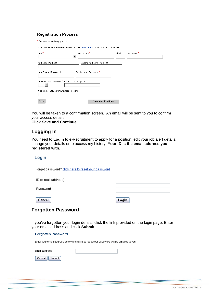## **Registration Process**

\* Denotes a mandatory question

If you have already registered with this system, click here to Log In to your account now.

| Title <sup>*</sup><br>▼                            | First Name*                             | Initial | Last Name * |
|----------------------------------------------------|-----------------------------------------|---------|-------------|
| Your Email Address <sup>*</sup>                    | Confirm Your Email Address <sup>*</sup> |         |             |
| Your Desired Password <sup>*</sup>                 | Confirm Your Password *                 |         |             |
| The State You Reside In * If other, please specify |                                         |         |             |
| Mobile: (For SMS communication - optional)         |                                         |         |             |
| Back                                               | <b>Save and Continue</b>                |         |             |

You will be taken to a confirmation screen. An email will be sent to you to confirm your access details.

## **Click Save and Continue.**

## **Logging In**

You need to **Login** to e-Recruitment to apply for a position, edit your job alert details, change your details or to access my history. **Your ID is the email address you registered with**.

#### Login

Forgot password? click here to reset your password

ID (e-mail address)

Password

## Cancel

Login

## **Forgotten Password**

If you've forgotten your login details, click the link provided on the login page. Enter your email address and click **Submit**.

#### **Forgotten Password**

Enter your email address below and a link to reset your password will be emailed to you.

**Email Address** 

| )ancel |
|--------|
|--------|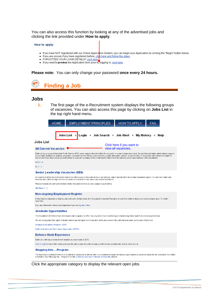You can also access this function by looking at any of the advertised jobs and clicking the link provided under **How to apply**.

#### How to apply:

- If you have NOT registered with our Online Applica<mark>t</mark>ion System, you can begin your Application by clicking the "Begin" button below.<br>• If you are unsure if you have registered before, <u>clic<mark>k here and follow the steps</u>.</u></mark>
- 
- 
- If you are unsure if you have registered before, thus here in the and follow the set of the FORGOTTEN YOUR LOGIN DETAILS? click here.

**Please note:** You can only change your password **once every 24 hours.**



#### **Jobs**

**1.** The first page of the e-Recruitment system displays the following groups of vacancies. You can also access this page by clicking on **Jobs List** in the top right hand menu.

|                                                                                                     | <b>HOME</b> |   | <b>EMPLOYMENT PRINCIPLES</b>                                                                                                                                   |                                                  | HOW TO APPLY | FAQ                                                                                                                                                                                                                                                                                                                                                                 |  |
|-----------------------------------------------------------------------------------------------------|-------------|---|----------------------------------------------------------------------------------------------------------------------------------------------------------------|--------------------------------------------------|--------------|---------------------------------------------------------------------------------------------------------------------------------------------------------------------------------------------------------------------------------------------------------------------------------------------------------------------------------------------------------------------|--|
|                                                                                                     | Jobs List   | ≪ | Login « Job Search « Job Alert « My History « Help                                                                                                             |                                                  |              |                                                                                                                                                                                                                                                                                                                                                                     |  |
| <b>Jobs List</b>                                                                                    |             |   |                                                                                                                                                                |                                                  |              |                                                                                                                                                                                                                                                                                                                                                                     |  |
| <b>All Current Vacancies</b>                                                                        |             |   |                                                                                                                                                                | Click here if you want to<br>view all vacancies. |              |                                                                                                                                                                                                                                                                                                                                                                     |  |
|                                                                                                     |             |   |                                                                                                                                                                |                                                  |              |                                                                                                                                                                                                                                                                                                                                                                     |  |
|                                                                                                     |             |   | name a few. If you think you've got what it takes to work with a leading Government Agency, follow the links below to current opportunities in the Department. |                                                  |              | Defence has a range of Australian Public Service (APS) career opportunities that offers the scope for a career change at any time. Our workforce includes administrative support,<br>accountants, intelligence analysts, engineers, customer service officers, policy advisors, graphic designers, lawyers, social workers, IT specialists and contract managers to |  |
| $APS1 - 6$                                                                                          |             |   |                                                                                                                                                                |                                                  |              |                                                                                                                                                                                                                                                                                                                                                                     |  |
| $EL1-2$                                                                                             |             |   |                                                                                                                                                                |                                                  |              |                                                                                                                                                                                                                                                                                                                                                                     |  |
| <b>Senior Leadership Vacancies (SES)</b>                                                            |             |   |                                                                                                                                                                |                                                  |              |                                                                                                                                                                                                                                                                                                                                                                     |  |
|                                                                                                     |             |   | motivate your staff to be high achievers to create a shared vision and sense of purpose for Defence.                                                           |                                                  |              | As a member of the Senior Executive Service in Defence you must be able to focus on Defence outputs and link them to broader Government goals. You need to enable and                                                                                                                                                                                               |  |
|                                                                                                     |             |   | People interested in joining the Defence Senior Executive Service are encouraged to apply online.                                                              |                                                  |              |                                                                                                                                                                                                                                                                                                                                                                     |  |
| SES Band 1 - 3                                                                                      |             |   |                                                                                                                                                                |                                                  |              |                                                                                                                                                                                                                                                                                                                                                                     |  |
| <b>Non-ongoing Employment Register</b>                                                              |             |   |                                                                                                                                                                |                                                  |              |                                                                                                                                                                                                                                                                                                                                                                     |  |
| vacancies.                                                                                          |             |   |                                                                                                                                                                |                                                  |              | If short term employment is what you are looking for, Defence has Non-Ongoing Employment Registers to help fill short-term, temporary (several weeks up to 12 month)                                                                                                                                                                                                |  |
| If you are interested in temporary employment you can register online.                              |             |   |                                                                                                                                                                |                                                  |              |                                                                                                                                                                                                                                                                                                                                                                     |  |
| <b>Graduate Opportunities</b>                                                                       |             |   |                                                                                                                                                                |                                                  |              |                                                                                                                                                                                                                                                                                                                                                                     |  |
|                                                                                                     |             |   | The Department of Defence has several graduate programs on offer. Our programs focus on attracting and developing future leaders in a wide range of areas.     |                                                  |              |                                                                                                                                                                                                                                                                                                                                                                     |  |
|                                                                                                     |             |   | We are seeking talented, highly motivated individuals with great communication skills who possess the potential to become our leaders of tomorrow.             |                                                  |              |                                                                                                                                                                                                                                                                                                                                                                     |  |
| Graduate Development Program (GDP)                                                                  |             |   |                                                                                                                                                                |                                                  |              |                                                                                                                                                                                                                                                                                                                                                                     |  |
| Defence Science and Technology Organisation (DSTO)                                                  |             |   |                                                                                                                                                                |                                                  |              |                                                                                                                                                                                                                                                                                                                                                                     |  |
| <b>Defence Work Experience</b>                                                                      |             |   |                                                                                                                                                                |                                                  |              |                                                                                                                                                                                                                                                                                                                                                                     |  |
| Defence is offering a variety of work experience placements in 2010.                                |             |   |                                                                                                                                                                |                                                  |              |                                                                                                                                                                                                                                                                                                                                                                     |  |
|                                                                                                     |             |   | Click through for more information and save this site on your favourites to keep up with the new opportunities as they come on line.                           |                                                  |              |                                                                                                                                                                                                                                                                                                                                                                     |  |
| <b>Stepping IntoProgram</b>                                                                         |             |   |                                                                                                                                                                |                                                  |              |                                                                                                                                                                                                                                                                                                                                                                     |  |
| information see 'Stepping IntoPrograms' on the Australian Employers' Network on Disability website. |             |   |                                                                                                                                                                |                                                  |              | The Australian Employers' Network on Disability is pleased to be able to offer a comprehensive range of internship opportunities to university students with a disability. For further                                                                                                                                                                              |  |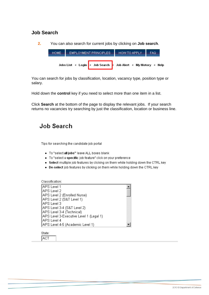## **Job Search**

**2.** You can also search for current jobs by clicking on **Job search**.



You can search for jobs by classification, location, vacancy type, position type or salary.

Hold down the **control** key if you need to select more than one item in a list.

Click **Search** at the bottom of the page to display the relevant jobs. If your search returns no vacancies try searching by just the classification, location or business line.

## Job Search

Tips for searching the candidate job portal

- To "select all jobs" leave ALL boxes blank
- To "select a specific job feature" click on your preference
- Select multiple job features by clicking on them while holding down the CTRL key
- De-select job features by clicking on them while holding down the CTRL key

Classification: APS Level 1 APS Level 2 APS Level 2 (Enrolled Nurse) APS Level 2 (S&T Level 1) APS Level 3 APS Level 3-4 (S&T Level 2) APS Level 3-4 (Technical) APS Level 3-Executive Level 1 (Legal 1) APS Level 4 APS Level 4-5 (Academic Level 1)

State: **ACT**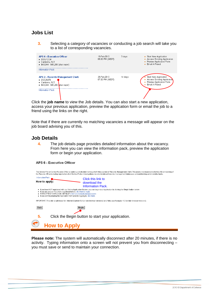## **Jobs List**

**3.** Selecting a category of vacancies or conducting a job search will take you to a list of corresponding vacancies.



Click the **job name** to view the Job details. You can also start a new application, access your previous application, preview the application form or email the job to a friend using the links on the right.

Note that if there are currently no matching vacancies a message will appear on the job board advising you of this.

## **Job Details**

**4.** The job details page provides detailed information about the vacancy. From here you can view the information pack, preview the application form or begin your application.

#### **APS 6 - Executive Officer**



**Please note:** The system will automatically disconnect after 20 minutes, if there is no activity. Typing information onto a screen will not prevent you from disconnecting – you must save or send to maintain your connection.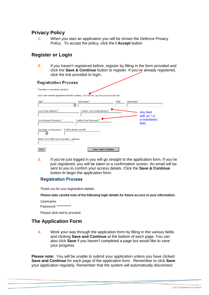## **Privacy Policy**

**1.** When you start an application you will be shown the Defence Privacy Policy. To accept the policy, click the **I Accept** button

## **Register or Login**

**2.** If you haven't registered before, register by filling in the form provided and click the **Save & Continue** button to register. If you've already registered, click the link provided to login.

| <b>Registration Process</b>                                                                |                            |         |             |                             |  |  |  |
|--------------------------------------------------------------------------------------------|----------------------------|---------|-------------|-----------------------------|--|--|--|
| * Denotes a mandatory question                                                             |                            |         |             |                             |  |  |  |
| If you have already registered with this system, click here to Log In to your account now. |                            |         |             |                             |  |  |  |
| Title <sup>*</sup><br>First Name*<br>٠                                                     |                            | Initial | Last Name * |                             |  |  |  |
| Your Email Address *                                                                       | Confirm Your Email Address |         |             | Any field<br>with an $*$ is |  |  |  |
| Your Desired Password <sup>*</sup>                                                         | Confirm Your Password      |         |             | a mandatory<br>field.       |  |  |  |
| The State You Reside In * If other, please specify                                         |                            |         |             |                             |  |  |  |
| Mobile: (For SMS communication - optional)                                                 |                            |         |             |                             |  |  |  |
| Back                                                                                       | <b>Save and Continue</b>   |         |             |                             |  |  |  |

**3.** If you've just logged in you will go straight to the application form. If you've just registered, you will be taken to a confirmation screen. An email will be sent to you to confirm your access details. Click the **Save & Continue** button to begin the application form.

### **Registration Process**

Thank you for your registration details.

Please take careful note of the following login details for future access to your information.

Username: Password: \*\*\*\*\*\*\*\*\*\*\*

Please click next to proceed

## **The Application Form**

**4.** Work your way through the application form by filling in the various fields and clicking **Save and Continue** at the bottom of each page. You can also click **Save** if you haven't completed a page but would like to save your progress.

**Please note:** You will be unable to submit your application unless you have clicked **Save and Continue** for each page of the application form. Remember to click **Save** your application regularly. Remember that the system will automatically disconnect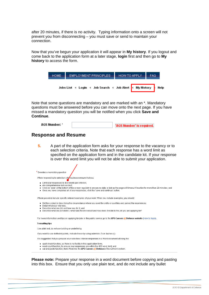after 20 minutes, if there is no activity. Typing information onto a screen will not prevent you from disconnecting – you must save or send to maintain your connection.

Now that you've begun your application it will appear in **My history**. If you logout and come back to the application form at a later stage, **login** first and then go to **My history** to access the form.

| HOME. | EMPLOYMENT PRINCIPLES.                                                      | HOW TO APPLY | FAQ <sub>1</sub> |  |
|-------|-----------------------------------------------------------------------------|--------------|------------------|--|
|       | Jobs List « Login « Job Search « Job Alert <mark>« My History -</mark> Help |              |                  |  |

Note that some questions are mandatory and are marked with an \*. Mandatory questions must be answered before you can move onto the next page. If you have missed a mandatory question you will be notified when you click **Save and Continue**.

| AGS Number: * |  | 'AGS Number' is required |  |
|---------------|--|--------------------------|--|
|---------------|--|--------------------------|--|

#### **Response and Resume**

**5.** A part of the application form asks for your response to the vacancy or to each selection criteria. Note that each response has a word limit as specified on the application form and in the candidate kit. If your response is over this word limit you will not be able to submit your application.

\* Denotes a mandatory question

When responding to selection criteria please ensure that you

- · Limityour responses to 400 words per criterion;
- · Are comprehensive but succinct
- Click on 'save' at the bottom of the screen regularly to ensure no data is lost as the page will timeout if inactive for more than 20 minutes; and
- . Once you have completed all of your responses, click the 'save and continue' button.

Where possible include specific relevant examples of your work. When you include examples, you should

- . Set the context by describing the circumstance where you used the skills or qualities and gained the experiences;
- · Detail what your role was; . Describe what you did and how you did it: and
- . Describe what you achieved what was the end result and how does it relate to the job you are applying for?

For more information and tips on applying for jobs in the public service go to the APS Careers @ Defence website (How to Apply).

#### **Formatting tips**

Use plain text, do not use bolding or underlining

If you want to use dot/bullet points, indicate these by using asterisks (\*) or dashes (-)

It is suggested that you prepare your selection criterion responses in a Word document utilising the:

- . spell check function, as there is no facility in this application form;
- word count function, to ensure your responses are within the 400 word limit; and<br>● cut and paste function, from Word into the APS Careers @ Defencee-Recruitment system.
- 

**Please note:** Prepare your response in a word document before copying and pasting into this box. Ensure that you only use plain text, and do not include any bullet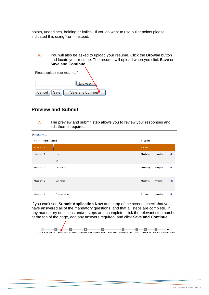points, underlines, bolding or italics. If you do want to use bullet points please indicated this using \* or – instead.

**6.** You will also be asked to upload your resume. Click the **Browse** button and locate your resume. The resume will upload when you click **Save** or **Save and Continue**

| Please upload your resume: *        |  |  |  |  |  |  |
|-------------------------------------|--|--|--|--|--|--|
| Browse                              |  |  |  |  |  |  |
| Cancel    Save<br>Save and Continue |  |  |  |  |  |  |

## **Preview and Submit**

**7.** The preview and submit step allows you to review your responses and edit them if required.

| Print Summary             |                |  |               |          |      |  |  |
|---------------------------|----------------|--|---------------|----------|------|--|--|
| Step 1 - Personal Details |                |  | Complete      |          |      |  |  |
| QUESTION #                |                |  | <b>STATUS</b> |          |      |  |  |
| Question 1.1              | Title:         |  | Mandatory     | Complete | edit |  |  |
|                           | Ms             |  |               |          |      |  |  |
| Question 1.2              | First Name     |  | Mandatory     | Complete | edit |  |  |
|                           | $\sim$         |  |               |          |      |  |  |
| Question 1.3              | Last Name      |  | Mandatory     | Complete | edit |  |  |
|                           | $\epsilon$     |  |               |          |      |  |  |
| Question 1.4              | Preferred Name |  | Optional      | Complete | edit |  |  |

If you can't see **Submit Application Now** at the top of the screen, check that you have answered all of the mandatory questions, and that all steps are complete. If any mandatory questions and/or steps are incomplete, click the relevant step number at the top of the page, add any answers required, and click **Save and Continue.** 

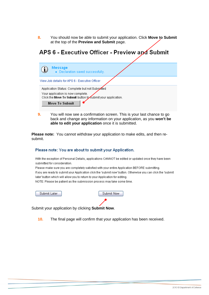**8.** You should now be able to submit your application. Click **Move to Submit** at the top of the **Preview and Submit** page.

## APS 6 - Executive Officer - Preview and Submit

| Message<br>• Declaration saved successfully.                                                                                                       |
|----------------------------------------------------------------------------------------------------------------------------------------------------|
| View Job details for APS 6 - Executive Officer                                                                                                     |
| Application Status: Complete but not Subraited<br>Your application is now complete.<br>Click the Move To Submit button to submit your application. |
| <b>Move To Submit</b>                                                                                                                              |

**9.** You will now see a confirmation screen. This is your last chance to go back and change any information on your application, as you **won't be able to edit your application** once it is submitted.

**Please note:** You cannot withdraw your application to make edits, and then resubmit.

#### Please note: You are about to submit your Application.

With the exception of Personal Details, applications CANNOT be edited or updated once they have been submitted for consideration.

Please make sure you are completely satisfied with your entire Application BEFORE submitting. If you are ready to submit your Application click the 'submit now' button. Otherwise you can click the 'submit later' button which will allow you to return to your Application for editing. NOTE: Please be patient as the submission process may take some time.

Submit Now

Submit Later

Submit your application by clicking **Submit Now**.

**10.** The final page will confirm that your application has been received.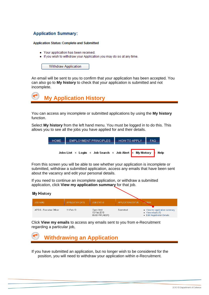## **Application Summary:**

#### **Application Status: Complete and Submitted**

- . Your application has been received.
- . If you wish to withdraw your Application you may do so at any time.

**Withdraw Application** 

An email will be sent to you to confirm that your application has been accepted. You can also go to **My history** to check that your application is submitted and not incomplete.



You can access any incomplete or submitted applications by using the **My history** function.

Select **My history** from the left hand menu. You must be logged in to do this. This allows you to see all the jobs you have applied for and their details.

| HOME. | <b>EMPLOYMENT PRINCIPLES</b>                                                | HOW TO APPLY | FAQ |
|-------|-----------------------------------------------------------------------------|--------------|-----|
|       | Jobs List « Login « Job Search « Job Alert <mark>« My History -</mark> Help |              |     |

From this screen you will be able to see whether your application is incomplete or submitted, withdraw a submitted application, access any emails that have been sent about the vacancy and edit your personal details.

If you need to continue an incomplete application, or withdraw a submitted application, click **View my application summary** for that job.

| <b>My History</b> |                           |                  |                                               |                    |                                                                                   |
|-------------------|---------------------------|------------------|-----------------------------------------------|--------------------|-----------------------------------------------------------------------------------|
|                   | JOB NAME                  | APPLICATION DATE | JOB STATUS                                    | APPLICATION STATUS | <b>ACTION</b>                                                                     |
|                   | APS 6 - Executive Officer | 11-Feb-10        | Open Until:<br>15-Feb-2010<br>05:00 PM (AEDT) | Submitted          | • View my application summary<br>• View emails (1)<br>• Edit Registration Details |

Click **View my emails** to access any emails sent to you from e-Recruitment regarding a particular job,



If you have submitted an application, but no longer wish to be considered for the position, you will need to withdraw your application within e-Recruitment.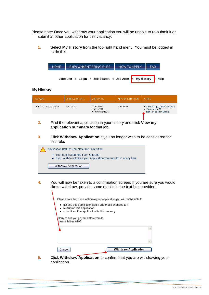Please note: Once you withdraw your application you will be unable to re-submit it or submit another application for this vacancy.

**1.** Select **My History** from the top right hand menu. You must be logged in to do this.

| HOME <sup>1</sup> | <b>EMPLOYMENT PRINCIPLES</b>                                                | HOW TO APPLY | FAQ <sub>1</sub> |
|-------------------|-----------------------------------------------------------------------------|--------------|------------------|
|                   | Jobs List « Login « Job Search « Job Alert <mark>« My History -</mark> Help |              |                  |

#### **My History**

 $\mathbf{r}$ 

| JOB NAME                  | APPLICATION DATE | JOB STATUS                                    | APPLICATION STATUS | <b>ACTION</b>                                                                   |
|---------------------------|------------------|-----------------------------------------------|--------------------|---------------------------------------------------------------------------------|
| APS 6 - Executive Officer | 11-Feb-10        | Open Until:<br>15-Feb-2010<br>05:00 PM (AEDT) | Submitted          | • View my application summary<br>• View emails (1)<br>Edit Registration Details |

- **2.** Find the relevant application in your history and click **View my application summary** for that job.
- **3.** Click **Withdraw Application** if you no longer wish to be considered for this role.

| • Your application has been received.<br>• If you wish to withdraw your Application you may do so at any time.<br>Withdraw Application | Application Status: Complete and Submitted |
|----------------------------------------------------------------------------------------------------------------------------------------|--------------------------------------------|
|                                                                                                                                        |                                            |
|                                                                                                                                        |                                            |

**4.** You will now be taken to a confirmation screen. If you are sure you would like to withdraw, provide some details in the text box provided.

|   | Please note that if you withdraw your application you will not be able to:                                                                  |  |
|---|---------------------------------------------------------------------------------------------------------------------------------------------|--|
| ٠ | $\bullet$ access this application again and make changes to it<br>re-submit this application<br>submit another application for this vacancy |  |
|   | Sorry to see you go, but before you do,<br>please tell us why?                                                                              |  |
|   |                                                                                                                                             |  |
|   |                                                                                                                                             |  |
|   |                                                                                                                                             |  |

**5.** Click **Withdraw Application** to confirm that you are withdrawing your application.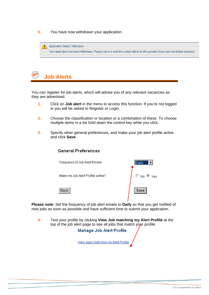**6.** You have now withdrawn your application.





You can register for job alerts, which will advise you of any relevant vacancies as they are advertised.

- **1.** Click on **Job alert** in the menu to access this function. If you're not logged in you will be asked to Register or Login.
- **2.** Choose the classification or location or a combination of these. To choose multiple items in a list hold down the control key while you click.
- **3.** Specify other general preferences, and make your job alert profile active and click **Save**.

#### **General Preferences**

| Frequency of Job Alert Emails     | <br><b>Daily</b> |
|-----------------------------------|------------------|
| Make my Job Alert Profile active? | $O$ No $O$ Yes   |
| Back                              | Save             |

**Please note:** Set the frequency of job alert emails to **Daily** so that you get notified of new jobs as soon as possible and have sufficient time to submit your application.

**4.** Test your profile by clicking **View Job matching my Alert Profile** at the top of the job alert page to see all jobs that match your profile.

Manage Job Alert Profile